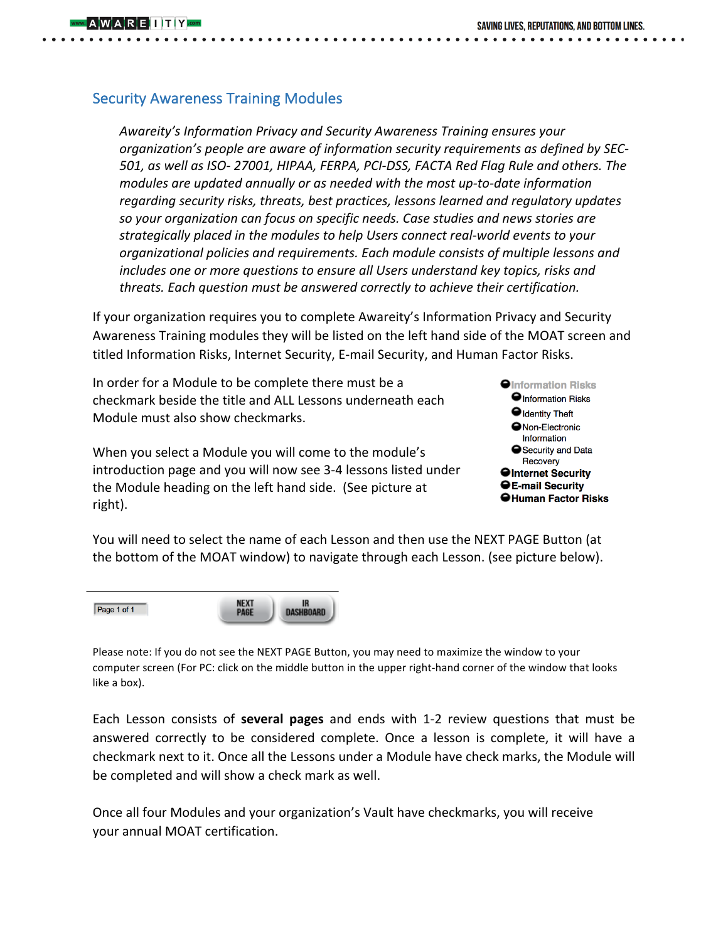# **Security Awareness Training Modules**

**REILITY** 

Awareity's Information Privacy and Security Awareness Training ensures your *organization's people are aware of information security requirements as defined by SEC-*501, as well as ISO-27001, HIPAA, FERPA, PCI-DSS, FACTA Red Flag Rule and others. The *modules are updated annually or as needed with the most up-to-date information* regarding security risks, threats, best practices, lessons learned and regulatory updates so your organization can focus on specific needs. Case studies and news stories are strategically placed in the modules to help Users connect real-world events to your *organizational policies and requirements. Each module consists of multiple lessons and includes* one or more questions to ensure all Users understand key topics, risks and *threats.* Each question must be answered correctly to achieve their certification.

If your organization requires you to complete Awareity's Information Privacy and Security Awareness Training modules they will be listed on the left hand side of the MOAT screen and titled Information Risks, Internet Security, E-mail Security, and Human Factor Risks.

In order for a Module to be complete there must be a checkmark beside the title and ALL Lessons underneath each Module must also show checkmarks.

When you select a Module you will come to the module's introduction page and you will now see 3-4 lessons listed under the Module heading on the left hand side. (See picture at right).



You will need to select the name of each Lesson and then use the NEXT PAGE Button (at the bottom of the MOAT window) to navigate through each Lesson. (see picture below).



Please note: If you do not see the NEXT PAGE Button, you may need to maximize the window to your computer screen (For PC: click on the middle button in the upper right-hand corner of the window that looks like a box).

Each Lesson consists of **several pages** and ends with 1-2 review questions that must be answered correctly to be considered complete. Once a lesson is complete, it will have a checkmark next to it. Once all the Lessons under a Module have check marks, the Module will be completed and will show a check mark as well.

Once all four Modules and your organization's Vault have checkmarks, you will receive your annual MOAT certification.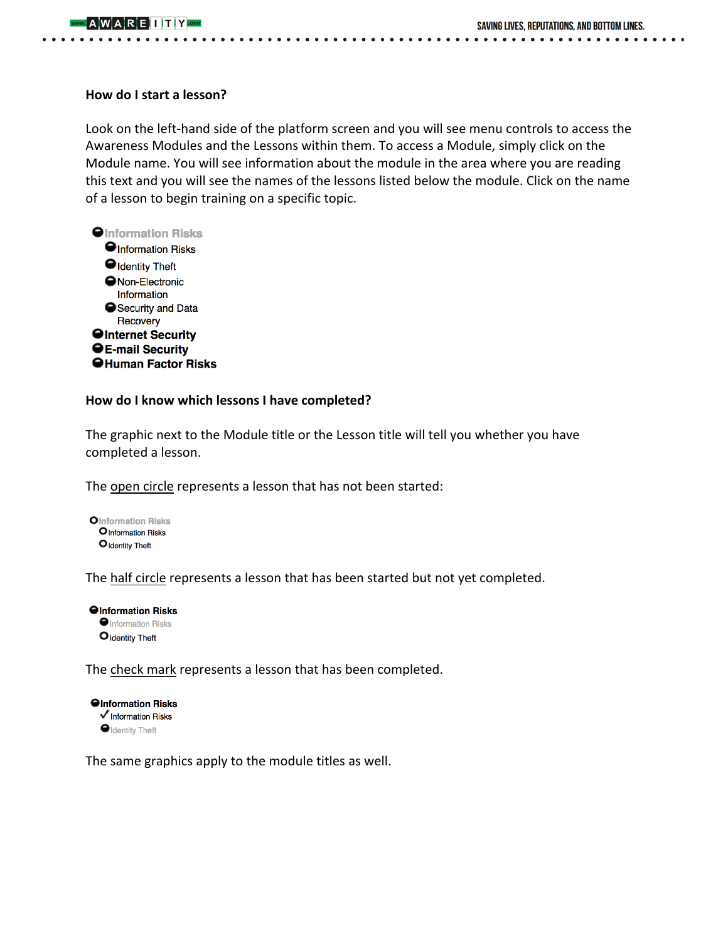## **How do I start a lesson?**

Look on the left-hand side of the platform screen and you will see menu controls to access the Awareness Modules and the Lessons within them. To access a Module, simply click on the Module name. You will see information about the module in the area where you are reading this text and you will see the names of the lessons listed below the module. Click on the name of a lesson to begin training on a specific topic.



## How do I know which lessons I have completed?

The graphic next to the Module title or the Lesson title will tell you whether you have completed a lesson.

The open circle represents a lesson that has not been started:



The half circle represents a lesson that has been started but not yet completed.

**Olnformation Risks O**Information Risks Oldentity Theft

The check mark represents a lesson that has been completed.

**Olnformation Risks**  $\checkmark$  Information Risks **O** Identity Theft

The same graphics apply to the module titles as well.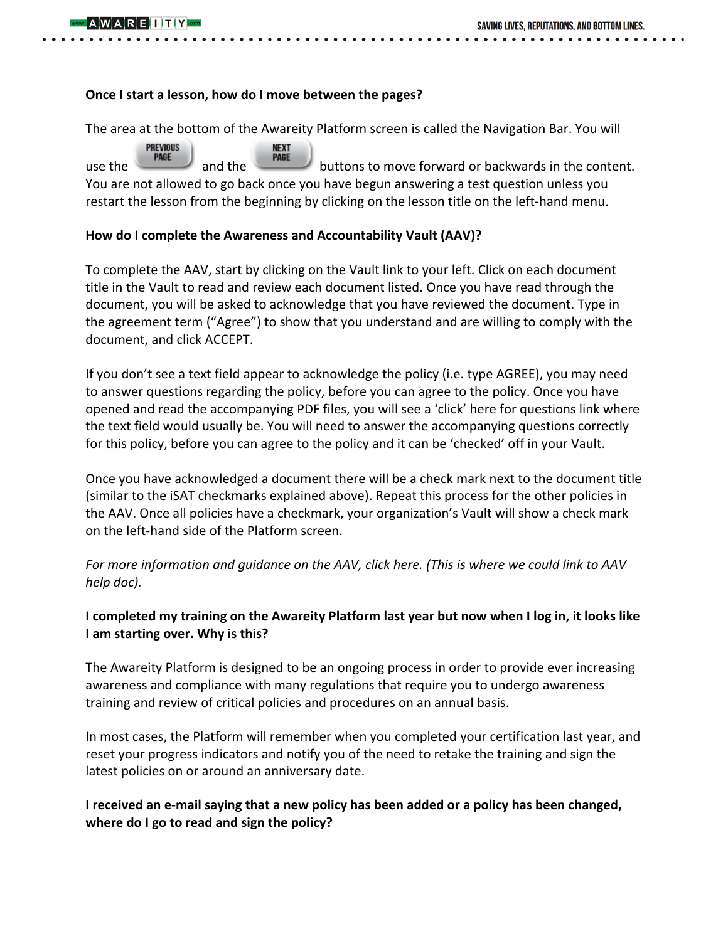## **Once I start a lesson, how do I move between the pages?**

The area at the bottom of the Awareity Platform screen is called the Navigation Bar. You will

**PREVIOUS NEXT** use the **PAGE** and the **PAGE** buttons to move forward or backwards in the content. You are not allowed to go back once you have begun answering a test question unless you restart the lesson from the beginning by clicking on the lesson title on the left-hand menu.

## How do I complete the Awareness and Accountability Vault (AAV)?

To complete the AAV, start by clicking on the Vault link to your left. Click on each document title in the Vault to read and review each document listed. Once you have read through the document, you will be asked to acknowledge that you have reviewed the document. Type in the agreement term ("Agree") to show that you understand and are willing to comply with the document, and click ACCEPT.

If you don't see a text field appear to acknowledge the policy (i.e. type  $AGREE$ ), you may need to answer questions regarding the policy, before you can agree to the policy. Once you have opened and read the accompanying PDF files, you will see a 'click' here for questions link where the text field would usually be. You will need to answer the accompanying questions correctly for this policy, before you can agree to the policy and it can be 'checked' off in your Vault.

Once you have acknowledged a document there will be a check mark next to the document title (similar to the iSAT checkmarks explained above). Repeat this process for the other policies in the AAV. Once all policies have a checkmark, your organization's Vault will show a check mark on the left-hand side of the Platform screen.

For more information and guidance on the AAV, click here. (This is where we could link to AAV *help doc).*

# **I** completed my training on the Awareity Platform last year but now when I log in, it looks like **I** am starting over. Why is this?

The Awareity Platform is designed to be an ongoing process in order to provide ever increasing awareness and compliance with many regulations that require you to undergo awareness training and review of critical policies and procedures on an annual basis.

In most cases, the Platform will remember when you completed your certification last year, and reset your progress indicators and notify you of the need to retake the training and sign the latest policies on or around an anniversary date.

# **I** received an e-mail saying that a new policy has been added or a policy has been changed, where do I go to read and sign the policy?